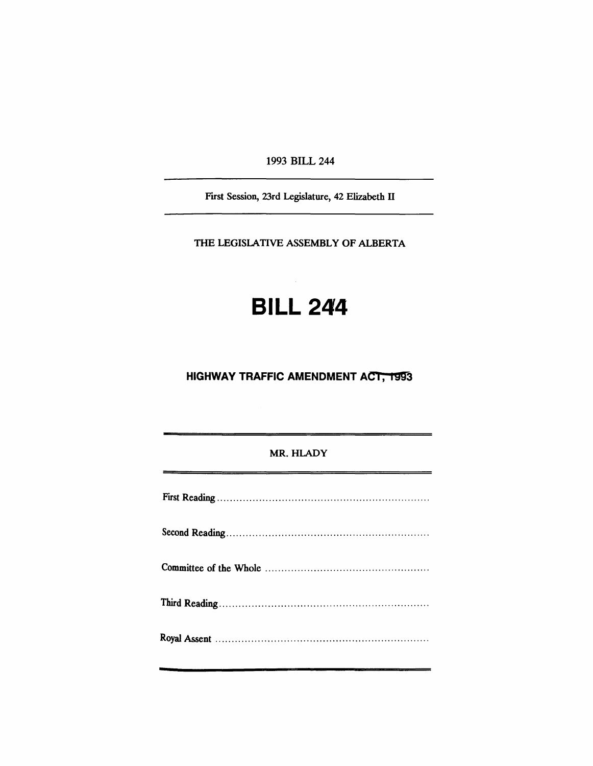1993 BILL 244

First Session, 23rd Legislature, 42 Elizabeth IT

THE LEGISLATIVE ASSEMBLY OF ALBERTA

# **BILL 244**

## **HIGHWAY TRAFFIC AMENDMENT ACT, 1993**

#### MR. HLADY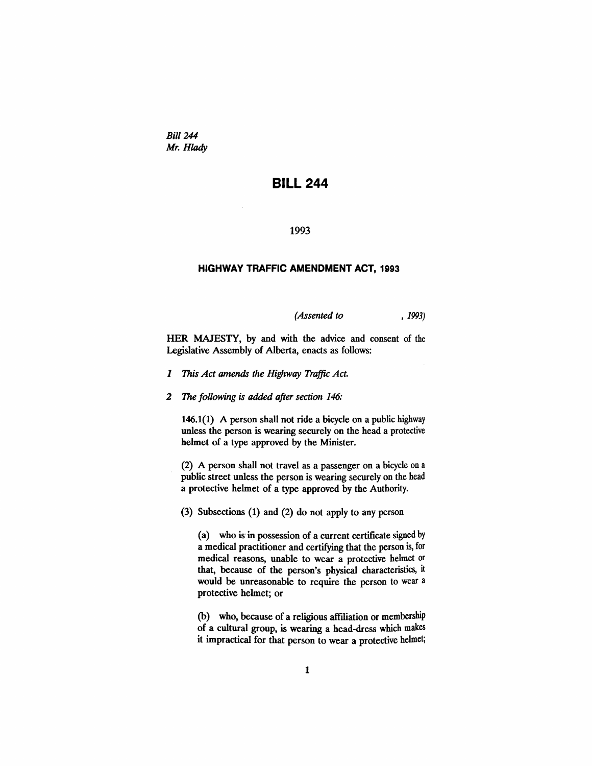*Bill* 244 *Mr. Hlady*

### **BILL 244**

#### 1993

#### **HIGHWAY TRAFFIC AMENDMENT ACT, 1993**

*(Assented to* , 1993)

HER MAJESTY, by and with the advice and consent of the Legislative Assembly of Alberta, enacts as follows:

- *1 This Act amends the Highway Traffic Act.*
- *2 The following is added after section 146:*

146.1(1) A person shall not ride a bicycle on a public highway unless the person is wearing securely on the head a protective helmet of a type approved by the Minister.

(2) A person shall not travel as a passenger on a bicycle on a public street unless the person is wearing securely on the head a protective helmet of a type approved by the Authority.

(3) Subsections (1) and (2) do not apply to any person

(a) who is in possession of a current certificate signed by a medical practitioner and certifying that the person is, for medical reasons, unable to wear a protective helmet or that, because of the person's physical characteristics, it would be unreasonable to require the person to wear a protective helmet; or

(b) who, because of a religious affiliation or membership of a cultural group, is wearing a head-dress which makes it impractical for that person to wear a protective helmet;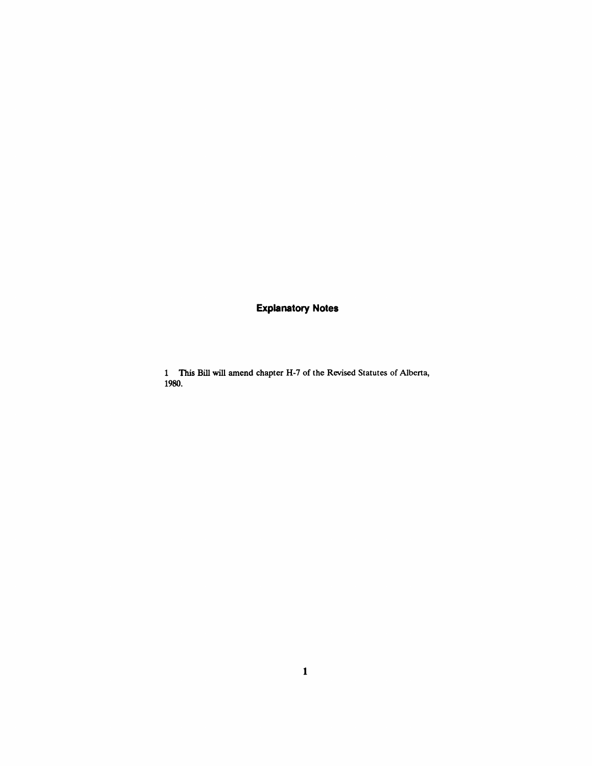## **Explanatory Notes**

1 This Bill will amend chapter H-7 of the Revised Statutes of Alberta, 1980.